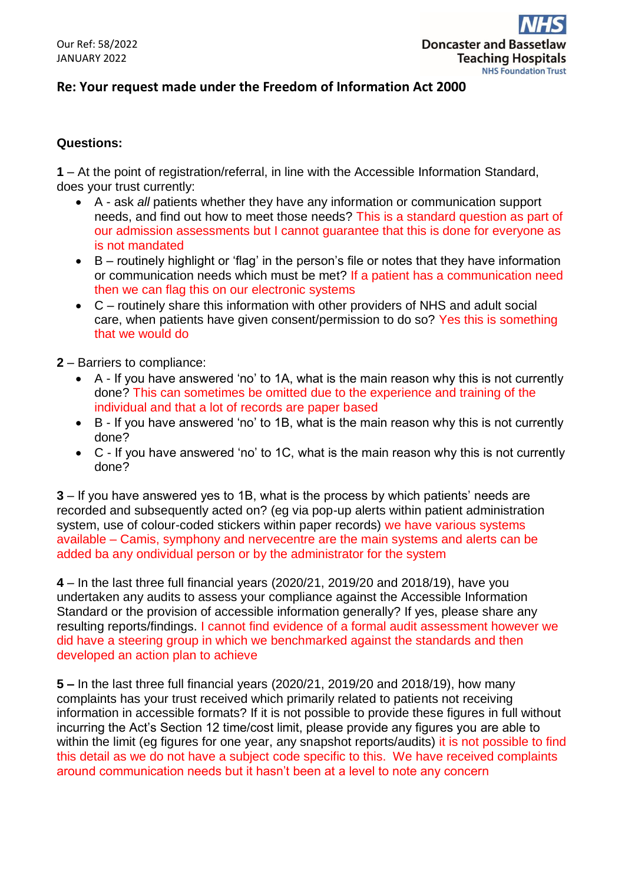

## **Re: Your request made under the Freedom of Information Act 2000**

## **Questions:**

**1** – At the point of registration/referral, in line with the Accessible Information Standard, does your trust currently:

- A ask *all* patients whether they have any information or communication support needs, and find out how to meet those needs? This is a standard question as part of our admission assessments but I cannot guarantee that this is done for everyone as is not mandated
- $\bullet$  B routinely highlight or 'flag' in the person's file or notes that they have information or communication needs which must be met? If a patient has a communication need then we can flag this on our electronic systems
- C routinely share this information with other providers of NHS and adult social care, when patients have given consent/permission to do so? Yes this is something that we would do
- **2** Barriers to compliance:
	- A If you have answered 'no' to 1A, what is the main reason why this is not currently done? This can sometimes be omitted due to the experience and training of the individual and that a lot of records are paper based
	- B If you have answered 'no' to 1B, what is the main reason why this is not currently done?
	- C If you have answered 'no' to 1C, what is the main reason why this is not currently done?

**3** – If you have answered yes to 1B, what is the process by which patients' needs are recorded and subsequently acted on? (eg via pop-up alerts within patient administration system, use of colour-coded stickers within paper records) we have various systems available – Camis, symphony and nervecentre are the main systems and alerts can be added ba any ondividual person or by the administrator for the system

**4** – In the last three full financial years (2020/21, 2019/20 and 2018/19), have you undertaken any audits to assess your compliance against the Accessible Information Standard or the provision of accessible information generally? If yes, please share any resulting reports/findings. I cannot find evidence of a formal audit assessment however we did have a steering group in which we benchmarked against the standards and then developed an action plan to achieve

**5 –** In the last three full financial years (2020/21, 2019/20 and 2018/19), how many complaints has your trust received which primarily related to patients not receiving information in accessible formats? If it is not possible to provide these figures in full without incurring the Act's Section 12 time/cost limit, please provide any figures you are able to within the limit (eg figures for one year, any snapshot reports/audits) it is not possible to find this detail as we do not have a subject code specific to this. We have received complaints around communication needs but it hasn't been at a level to note any concern